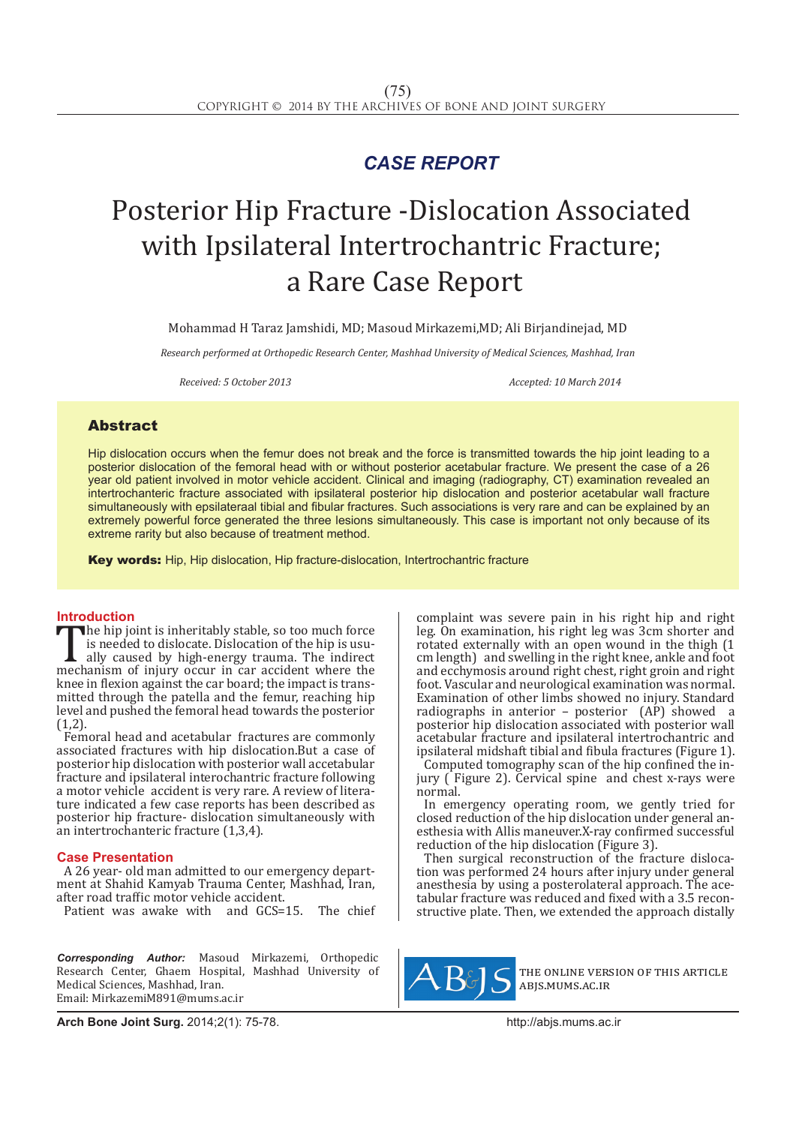## *CASE REPORT*

# Posterior Hip Fracture -Dislocation Associated with Ipsilateral Intertrochantric Fracture; a Rare Case Report

Mohammad H Taraz Jamshidi, MD; Masoud Mirkazemi,MD; Ali Birjandinejad, MD

*Research performed at Orthopedic Research Center, Mashhad University of Medical Sciences, Mashhad, Iran*

*Received: 5 October 2013 Accepted: 10 March 2014*

### Abstract

Hip dislocation occurs when the femur does not break and the force is transmitted towards the hip joint leading to a posterior dislocation of the femoral head with or without posterior acetabular fracture. We present the case of a 26 year old patient involved in motor vehicle accident. Clinical and imaging (radiography, CT) examination revealed an intertrochanteric fracture associated with ipsilateral posterior hip dislocation and posterior acetabular wall fracture simultaneously with epsilateraal tibial and fibular fractures. Such associations is very rare and can be explained by an extremely powerful force generated the three lesions simultaneously. This case is important not only because of its extreme rarity but also because of treatment method.

Key words: Hip, Hip dislocation, Hip fracture-dislocation, Intertrochantric fracture

**Introduction**<br>**T** the hip joint is inheritably stable, so too much force The hip joint is inheritably stable, so too much force<br>is needed to dislocate. Dislocation of the hip is usu-<br>ally caused by high-energy trauma. The indirect<br>mechanism of injury occur in car accident where the<br>known flexio is needed to dislocate. Dislocation of the hip is usu- ally caused by high-energy trauma. The indirect mechanism of injury occur in car accident where the knee in flexion against the car board; the impact is transmitted through the patella and the femur, reaching hip level and pushed the femoral head towards the posterior  $(1,2)$ .

Femoral head and acetabular fractures are commonly associated fractures with hip dislocation.But a case of posterior hip dislocation with posterior wall accetabular fracture and ipsilateral interochantric fracture following a motor vehicle accident is very rare. A review of literature indicated a few case reports has been described as posterior hip fracture- dislocation simultaneously with an intertrochanteric fracture (1,3,4).

### **Case Presentation**

A 26 year- old man admitted to our emergency department at Shahid Kamyab Trauma Center, Mashhad, Iran, after road traffic motor vehicle accident.

Patient was awake with and GCS=15. The chief

*Corresponding Author:* Masoud Mirkazemi, Orthopedic Research Center, Ghaem Hospital, Mashhad University of Medical Sciences, Mashhad, Iran. Email: MirkazemiM891@mums.ac.ir

complaint was severe pain in his right hip and right leg. On examination, his right leg was 3cm shorter and rotated externally with an open wound in the thigh (1 cm length) and swelling in the right knee, ankle and foot and ecchymosis around right chest, right groin and right foot. Vascular and neurological examination was normal. Examination of other limbs showed no injury. Standard radiographs in anterior – posterior (AP) showed a posterior hip dislocation associated with posterior wall acetabular fracture and ipsilateral intertrochantric and ipsilateral midshaft tibial and fibula fractures (Figure 1).<br>Computed tomography scan of the hip confined the in-

jury ( $\overline{F}$  Figure 2). Cervical spine and chest x-rays were normal.

In emergency operating room, we gently tried for closed reduction of the hip dislocation under general anesthesia with Allis maneuver.X-ray confirmed successful reduction of the hip dislocation (Figure 3).<br>Then surgical reconstruction of the fracture disloca-

tion was performed 24 hours after injury under general anesthesia by using a posterolateral approach. The acetabular fracture was reduced and fixed with a 3.5 recon-<br>structive plate. Then, we extended the approach distally



the online version of this article abjs.mums.ac.ir

**Arch Bone Joint Surg.** 2014;2(1): 75-78.http://abjs.mums.ac.ir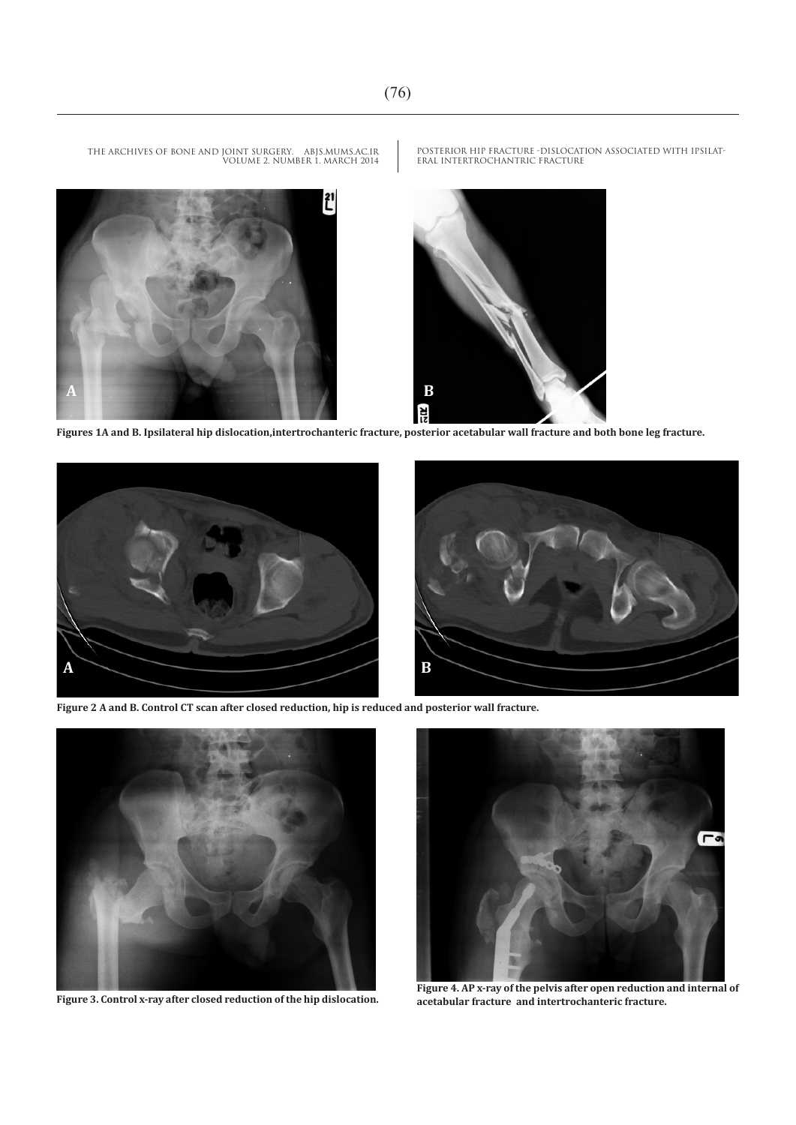**Ri**z

THE ARCHIVES OF BONE AND JOINT SURGERY. ABJS.MUMS.AC.IR VOLUME 2. NUMBER 1. MARCH 2014



**Figures 1A and B. Ipsilateral hip dislocation,intertrochanteric fracture, posterior acetabular wall fracture and both bone leg fracture.**



**Figure 2 A and B. Control CT scan after closed reduction, hip is reduced and posterior wall fracture.**



**Figure 3. Control x-ray after closed reduction of the hip dislocation.**



**Figure 4. AP x-ray of the pelvis after open reduction and internal of acetabular fracture and intertrochanteric fracture.**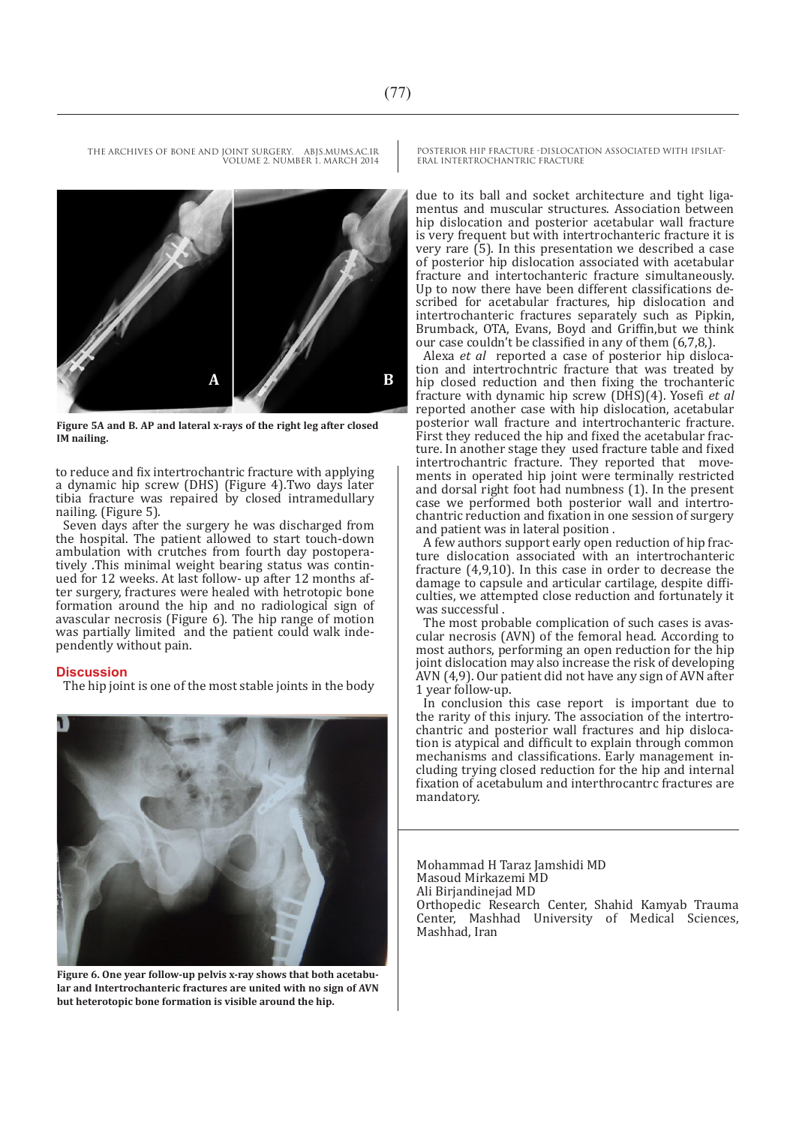THE ARCHIVES OF BONE AND JOINT SURGERY. ABJS.MUMS.AC.IR VOLUME 2. NUMBER 1. MARCH 2014



**Figure 5A and B. AP and lateral x-rays of the right leg after closed IM nailing.**

to reduce and fix intertrochantric fracture with applying a dynamic hip screw (DHS) (Figure 4).Two days later tibia fracture was repaired by closed intramedullary nailing. (Figure 5).

Seven days after the surgery he was discharged from the hospital. The patient allowed to start touch-down ambulation with crutches from fourth day postoperatively .This minimal weight bearing status was continued for 12 weeks. At last follow- up after 12 months after surgery, fractures were healed with hetrotopic bone formation around the hip and no radiological sign of avascular necrosis (Figure 6). The hip range of motion was partially limited and the patient could walk independently without pain.

### **Discussion**

The hip joint is one of the most stable joints in the body



**Figure 6. One year follow-up pelvis x-ray shows that both acetabular and Intertrochanteric fractures are united with no sign of AVN but heterotopic bone formation is visible around the hip.**

POSTERIOR HIP FRACTURE -DISLOCATION ASSOCIATED WITH IPSILAT-ERAL INTERTROCHANTRIC FRACTURE

due to its ball and socket architecture and tight ligamentus and muscular structures. Association between hip dislocation and posterior acetabular wall fracture is very frequent but with intertrochanteric fracture it is very rare (5). In this presentation we described a case of posterior hip dislocation associated with acetabular fracture and intertochanteric fracture simultaneously. Up to now there have been different classifications described for acetabular fractures, hip dislocation and intertrochanteric fractures separately such as Pipkin, Brumback, OTA, Evans, Boyd and Griffin,but we think our case couldn't be classified in any of them (6,7,8,).

Alexa *et al* reported a case of posterior hip dislocation and intertrochntric fracture that was treated by hip closed reduction and then fixing the trochanteric fracture with dynamic hip screw (DHS)(4). Yosefi *et al* reported another case with hip dislocation, acetabular posterior wall fracture and intertrochanteric fracture. ture. In another stage they used fracture table and fixed intertrochantric fracture. They reported that movements in operated hip joint were terminally restricted and dorsal right foot had numbness (1). In the present chantric reduction and fixation in one session of surgery and patient was in lateral position .<br>A few authors support early open reduction of hip frac-

ture dislocation associated with an intertrochanteric fracture (4,9,10). In this case in order to decrease the damage to capsule and articular cartilage, despite difficulties, we attempted close reduction and fortunately it was successful .<br>The most probable complication of such cases is avas-

cular necrosis (AVN) of the femoral head. According to most authors, performing an open reduction for the hip joint dislocation may also increase the risk of developing AVN (4,9). Our patient did not have any sign of AVN after 1 year follow-up.

In conclusion this case report is important due to the rarity of this injury. The association of the intertrochantric and posterior wall fractures and hip dislocation is atypical and difficult to explain through common mechanisms and classifications. Early management including trying closed reduction for the hip and internal fixation of acetabulum and interthrocantrc fractures are mandatory.

Mohammad H Taraz Jamshidi MD Masoud Mirkazemi MD Ali Birjandinejad MD Orthopedic Research Center, Shahid Kamyab Trauma Center, Mashhad University of Medical Sciences, Mashhad, Iran